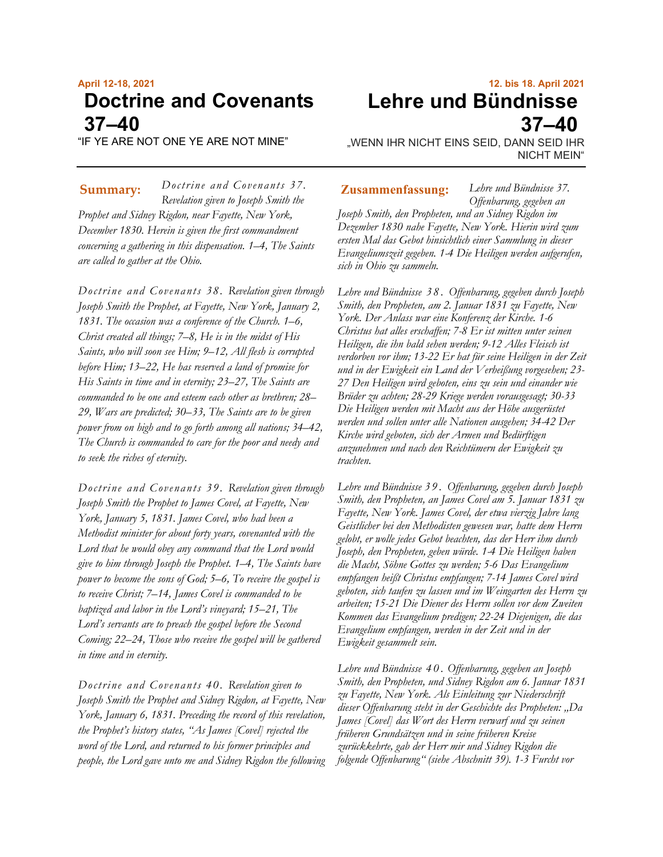# **April 12-18, 2021 Doctrine and Covenants 37–40**

"IF YE ARE NOT ONE YE ARE NOT MINE"

*Doctrine and Covenants 37. Revelation given to Joseph Smith the Prophet and Sidney Rigdon, near Fayette, New York, December 1830. Herein is given the first commandment concerning a gathering in this dispensation. 1–4, The Saints are called to gather at the Ohio.* **Summary:** *Doctrine and Covenants 3/.* **Zusammenfassung:** 

*Doctrine and Covenants 38. Revelation given through Joseph Smith the Prophet, at Fayette, New York, January 2, 1831. The occasion was a conference of the Church. 1–6, Christ created all things; 7–8, He is in the midst of His Saints, who will soon see Him; 9–12, All flesh is corrupted before Him; 13–22, He has reserved a land of promise for His Saints in time and in eternity; 23–27, The Saints are commanded to be one and esteem each other as brethren; 28– 29, Wars are predicted; 30–33, The Saints are to be given power from on high and to go forth among all nations; 34–42, The Church is commanded to care for the poor and needy and to seek the riches of eternity.*

*Doctrine and Covenants 39. Revelation given through Joseph Smith the Prophet to James Covel, at Fayette, New York, January 5, 1831. James Covel, who had been a Methodist minister for about forty years, covenanted with the Lord that he would obey any command that the Lord would give to him through Joseph the Prophet. 1–4, The Saints have power to become the sons of God; 5–6, To receive the gospel is to receive Christ; 7–14, James Covel is commanded to be baptized and labor in the Lord's vineyard; 15–21, The Lord's servants are to preach the gospel before the Second Coming; 22–24, Those who receive the gospel will be gathered in time and in eternity.*

*Doctrine and Covenants 40. Revelation given to Joseph Smith the Prophet and Sidney Rigdon, at Fayette, New York, January 6, 1831. Preceding the record of this revelation, the Prophet's history states, "As James [Covel] rejected the word of the Lord, and returned to his former principles and people, the Lord gave unto me and Sidney Rigdon the following* 

**12. bis 18. April 2021 Lehre und Bündnisse 37–40**

*Lehre und Bündnisse 37.* 

"WENN IHR NICHT EINS SEID, DANN SEID IHR NICHT MEIN"

*Offenbarung, gegeben an Joseph Smith, den Propheten, und an Sidney Rigdon im Dezember 1830 nahe Fayette, New York. Hierin wird zum ersten Mal das Gebot hinsichtlich einer Sammlung in dieser Evangeliumszeit gegeben. 1-4 Die Heiligen werden aufgerufen, sich in Ohio zu sammeln.*

*Lehre und Bündnisse 3 8* . *Offenbarung, gegeben durch Joseph Smith, den Propheten, am 2. Januar 1831 zu Fayette, New York. Der Anlass war eine Konferenz der Kirche. 1-6 Christus hat alles erschaffen; 7-8 Er ist mitten unter seinen Heiligen, die ihn bald sehen werden; 9-12 Alles Fleisch ist verdorben vor ihm; 13-22 Er hat für seine Heiligen in der Zeit und in der Ewigkeit ein Land der Verheißung vorgesehen; 23- 27 Den Heiligen wird geboten, eins zu sein und einander wie Brüder zu achten; 28-29 Kriege werden vorausgesagt; 30-33 Die Heiligen werden mit Macht aus der Höhe ausgerüstet werden und sollen unter alle Nationen ausgehen; 34-42 Der Kirche wird geboten, sich der Armen und Bedürftigen anzunehmen und nach den Reichtümern der Ewigkeit zu trachten.*

*Lehre und Bündnisse 3 9* . *Offenbarung, gegeben durch Joseph Smith, den Propheten, an James Covel am 5. Januar 1831 zu Fayette, New York. James Covel, der etwa vierzig Jahre lang Geistlicher bei den Methodisten gewesen war, hatte dem Herrn gelobt, er wolle jedes Gebot beachten, das der Herr ihm durch Joseph, den Propheten, geben würde. 1-4 Die Heiligen haben die Macht, Söhne Gottes zu werden; 5-6 Das Evangelium empfangen heißt Christus empfangen; 7-14 James Covel wird geboten, sich taufen zu lassen und im Weingarten des Herrn zu arbeiten; 15-21 Die Diener des Herrn sollen vor dem Zweiten Kommen das Evangelium predigen; 22-24 Diejenigen, die das Evangelium empfangen, werden in der Zeit und in der Ewigkeit gesammelt sein.*

*Lehre und Bündnisse 4 0* . *Offenbarung, gegeben an Joseph Smith, den Propheten, und Sidney Rigdon am 6. Januar 1831 zu Fayette, New York. Als Einleitung zur Niederschrift dieser Offenbarung steht in der Geschichte des Propheten: "Da James [Covel] das Wort des Herrn verwarf und zu seinen früheren Grundsätzen und in seine früheren Kreise zurückkehrte, gab der Herr mir und Sidney Rigdon die folgende Offenbarung" (siehe Abschnitt 39). 1-3 Furcht vor*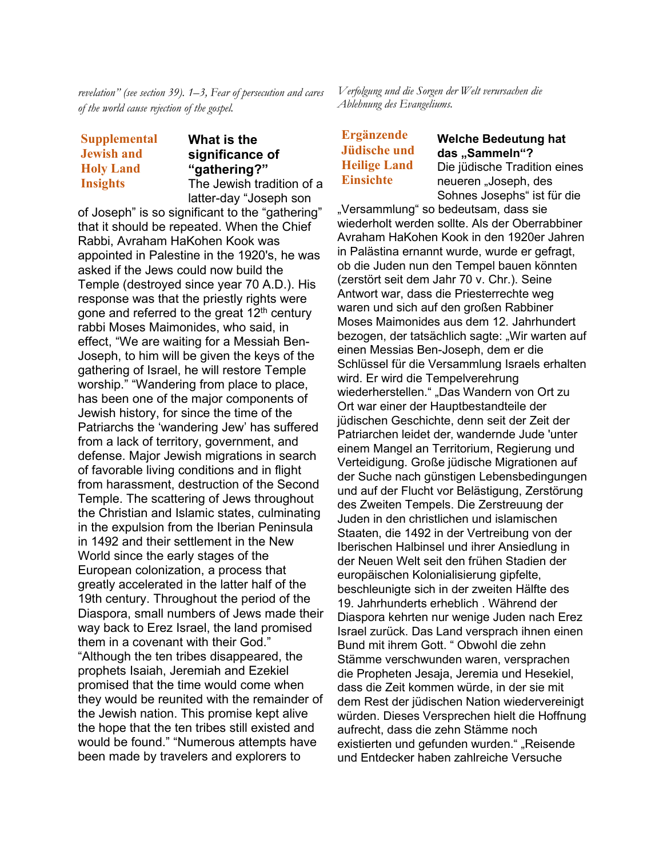*revelation" (see section 39). 1–3, Fear of persecution and cares of the world cause rejection of the gospel.*

# **Supplemental Jewish and Holy Land Insights**

#### **What is the significance of "gathering?"** The Jewish tradition of a

latter-day "Joseph son of Joseph" is so significant to the "gathering" that it should be repeated. When the Chief Rabbi, Avraham HaKohen Kook was appointed in Palestine in the 1920's, he was asked if the Jews could now build the Temple (destroyed since year 70 A.D.). His response was that the priestly rights were gone and referred to the great 12<sup>th</sup> century rabbi Moses Maimonides, who said, in effect, "We are waiting for a Messiah Ben-Joseph, to him will be given the keys of the gathering of Israel, he will restore Temple worship." "Wandering from place to place, has been one of the major components of Jewish history, for since the time of the Patriarchs the 'wandering Jew' has suffered from a lack of territory, government, and defense. Major Jewish migrations in search of favorable living conditions and in flight from harassment, destruction of the Second Temple. The scattering of Jews throughout the Christian and Islamic states, culminating in the expulsion from the Iberian Peninsula in 1492 and their settlement in the New World since the early stages of the European colonization, a process that greatly accelerated in the latter half of the 19th century. Throughout the period of the Diaspora, small numbers of Jews made their way back to Erez Israel, the land promised them in a covenant with their God." "Although the ten tribes disappeared, the prophets Isaiah, Jeremiah and Ezekiel promised that the time would come when they would be reunited with the remainder of the Jewish nation. This promise kept alive the hope that the ten tribes still existed and would be found." "Numerous attempts have been made by travelers and explorers to

*Verfolgung und die Sorgen der Welt verursachen die Ablehnung des Evangeliums.*

**Ergänzende Jüdische und Heilige Land Einsichte**

**Welche Bedeutung hat**  das "Sammeln"? Die jüdische Tradition eines neueren "Joseph, des

Sohnes Josephs" ist für die "Versammlung" so bedeutsam, dass sie wiederholt werden sollte. Als der Oberrabbiner Avraham HaKohen Kook in den 1920er Jahren in Palästina ernannt wurde, wurde er gefragt, ob die Juden nun den Tempel bauen könnten (zerstört seit dem Jahr 70 v. Chr.). Seine Antwort war, dass die Priesterrechte weg waren und sich auf den großen Rabbiner Moses Maimonides aus dem 12. Jahrhundert bezogen, der tatsächlich sagte: "Wir warten auf einen Messias Ben-Joseph, dem er die Schlüssel für die Versammlung Israels erhalten wird. Er wird die Tempelverehrung wiederherstellen." "Das Wandern von Ort zu Ort war einer der Hauptbestandteile der jüdischen Geschichte, denn seit der Zeit der Patriarchen leidet der, wandernde Jude 'unter einem Mangel an Territorium, Regierung und Verteidigung. Große jüdische Migrationen auf der Suche nach günstigen Lebensbedingungen und auf der Flucht vor Belästigung, Zerstörung des Zweiten Tempels. Die Zerstreuung der Juden in den christlichen und islamischen Staaten, die 1492 in der Vertreibung von der Iberischen Halbinsel und ihrer Ansiedlung in der Neuen Welt seit den frühen Stadien der europäischen Kolonialisierung gipfelte, beschleunigte sich in der zweiten Hälfte des 19. Jahrhunderts erheblich . Während der Diaspora kehrten nur wenige Juden nach Erez Israel zurück. Das Land versprach ihnen einen Bund mit ihrem Gott. " Obwohl die zehn Stämme verschwunden waren, versprachen die Propheten Jesaja, Jeremia und Hesekiel, dass die Zeit kommen würde, in der sie mit dem Rest der jüdischen Nation wiedervereinigt würden. Dieses Versprechen hielt die Hoffnung aufrecht, dass die zehn Stämme noch existierten und gefunden wurden." "Reisende und Entdecker haben zahlreiche Versuche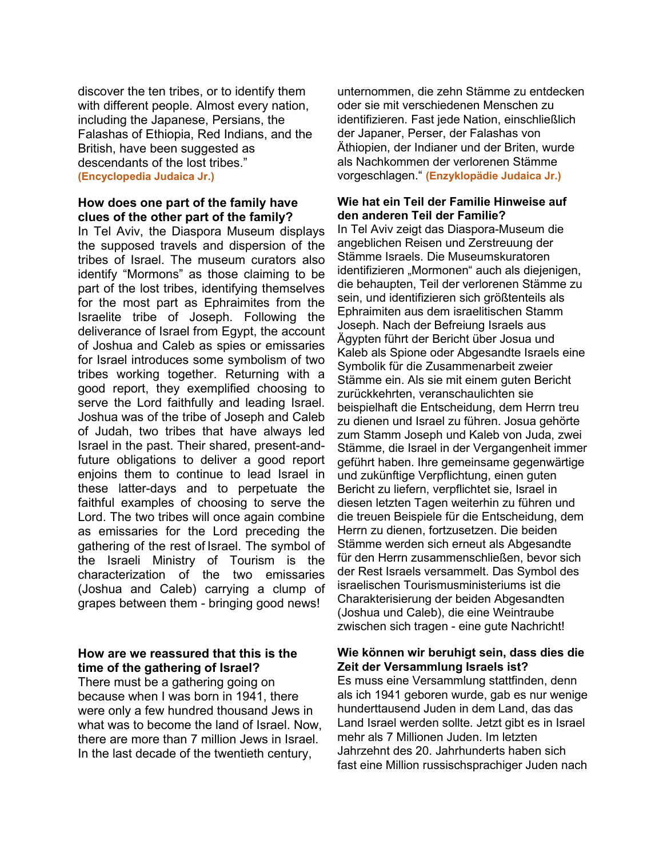discover the ten tribes, or to identify them with different people. Almost every nation, including the Japanese, Persians, the Falashas of Ethiopia, Red Indians, and the British, have been suggested as descendants of the lost tribes." **(Encyclopedia Judaica Jr.)**

## **How does one part of the family have clues of the other part of the family?**

In Tel Aviv, the Diaspora Museum displays the supposed travels and dispersion of the tribes of Israel. The museum curators also identify "Mormons" as those claiming to be part of the lost tribes, identifying themselves for the most part as Ephraimites from the Israelite tribe of Joseph. Following the deliverance of Israel from Egypt, the account of Joshua and Caleb as spies or emissaries for Israel introduces some symbolism of two tribes working together. Returning with a good report, they exemplified choosing to serve the Lord faithfully and leading Israel. Joshua was of the tribe of Joseph and Caleb of Judah, two tribes that have always led Israel in the past. Their shared, present-andfuture obligations to deliver a good report enjoins them to continue to lead Israel in these latter-days and to perpetuate the faithful examples of choosing to serve the Lord. The two tribes will once again combine as emissaries for the Lord preceding the gathering of the rest of Israel. The symbol of the Israeli Ministry of Tourism is the characterization of the two emissaries (Joshua and Caleb) carrying a clump of grapes between them - bringing good news!

## **How are we reassured that this is the time of the gathering of Israel?**

There must be a gathering going on because when I was born in 1941, there were only a few hundred thousand Jews in what was to become the land of Israel. Now, there are more than 7 million Jews in Israel. In the last decade of the twentieth century,

unternommen, die zehn Stämme zu entdecken oder sie mit verschiedenen Menschen zu identifizieren. Fast jede Nation, einschließlich der Japaner, Perser, der Falashas von Äthiopien, der Indianer und der Briten, wurde als Nachkommen der verlorenen Stämme vorgeschlagen." **(Enzyklopädie Judaica Jr.)**

#### **Wie hat ein Teil der Familie Hinweise auf den anderen Teil der Familie?**

In Tel Aviv zeigt das Diaspora-Museum die angeblichen Reisen und Zerstreuung der Stämme Israels. Die Museumskuratoren identifizieren "Mormonen" auch als diejenigen, die behaupten, Teil der verlorenen Stämme zu sein, und identifizieren sich größtenteils als Ephraimiten aus dem israelitischen Stamm Joseph. Nach der Befreiung Israels aus Ägypten führt der Bericht über Josua und Kaleb als Spione oder Abgesandte Israels eine Symbolik für die Zusammenarbeit zweier Stämme ein. Als sie mit einem guten Bericht zurückkehrten, veranschaulichten sie beispielhaft die Entscheidung, dem Herrn treu zu dienen und Israel zu führen. Josua gehörte zum Stamm Joseph und Kaleb von Juda, zwei Stämme, die Israel in der Vergangenheit immer geführt haben. Ihre gemeinsame gegenwärtige und zukünftige Verpflichtung, einen guten Bericht zu liefern, verpflichtet sie, Israel in diesen letzten Tagen weiterhin zu führen und die treuen Beispiele für die Entscheidung, dem Herrn zu dienen, fortzusetzen. Die beiden Stämme werden sich erneut als Abgesandte für den Herrn zusammenschließen, bevor sich der Rest Israels versammelt. Das Symbol des israelischen Tourismusministeriums ist die Charakterisierung der beiden Abgesandten (Joshua und Caleb), die eine Weintraube zwischen sich tragen - eine gute Nachricht!

# **Wie können wir beruhigt sein, dass dies die Zeit der Versammlung Israels ist?**

Es muss eine Versammlung stattfinden, denn als ich 1941 geboren wurde, gab es nur wenige hunderttausend Juden in dem Land, das das Land Israel werden sollte. Jetzt gibt es in Israel mehr als 7 Millionen Juden. Im letzten Jahrzehnt des 20. Jahrhunderts haben sich fast eine Million russischsprachiger Juden nach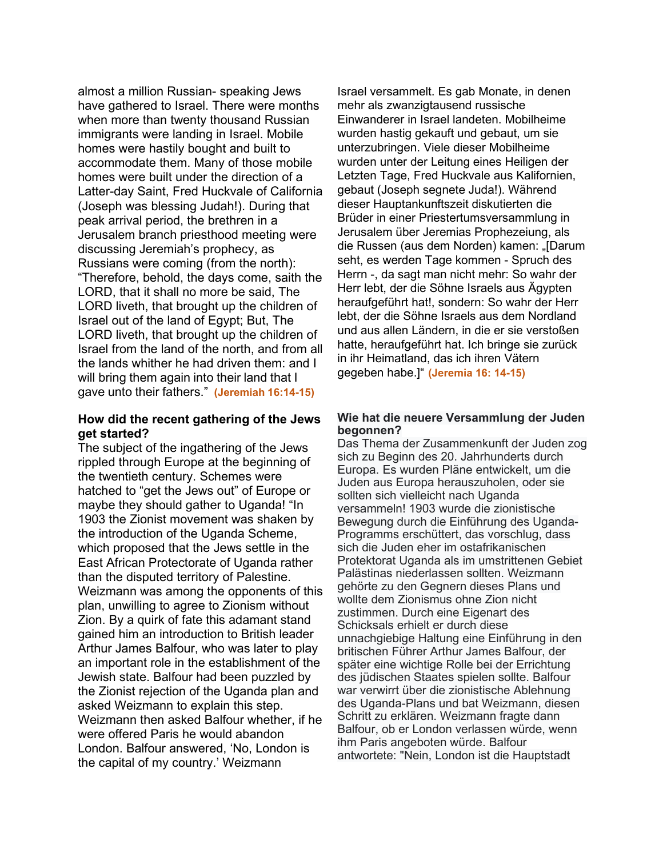almost a million Russian- speaking Jews have gathered to Israel. There were months when more than twenty thousand Russian immigrants were landing in Israel. Mobile homes were hastily bought and built to accommodate them. Many of those mobile homes were built under the direction of a Latter-day Saint, Fred Huckvale of California (Joseph was blessing Judah!). During that peak arrival period, the brethren in a Jerusalem branch priesthood meeting were discussing Jeremiah's prophecy, as Russians were coming (from the north): "Therefore, behold, the days come, saith the LORD, that it shall no more be said, The LORD liveth, that brought up the children of Israel out of the land of Egypt; But, The LORD liveth, that brought up the children of Israel from the land of the north, and from all the lands whither he had driven them: and I will bring them again into their land that I gave unto their fathers." **(Jeremiah 16:14-15)**

## **How did the recent gathering of the Jews get started?**

The subject of the ingathering of the Jews rippled through Europe at the beginning of the twentieth century. Schemes were hatched to "get the Jews out" of Europe or maybe they should gather to Uganda! "In 1903 the Zionist movement was shaken by the introduction of the Uganda Scheme, which proposed that the Jews settle in the East African Protectorate of Uganda rather than the disputed territory of Palestine. Weizmann was among the opponents of this plan, unwilling to agree to Zionism without Zion. By a quirk of fate this adamant stand gained him an introduction to British leader Arthur James Balfour, who was later to play an important role in the establishment of the Jewish state. Balfour had been puzzled by the Zionist rejection of the Uganda plan and asked Weizmann to explain this step. Weizmann then asked Balfour whether, if he were offered Paris he would abandon London. Balfour answered, 'No, London is the capital of my country.' Weizmann

Israel versammelt. Es gab Monate, in denen mehr als zwanzigtausend russische Einwanderer in Israel landeten. Mobilheime wurden hastig gekauft und gebaut, um sie unterzubringen. Viele dieser Mobilheime wurden unter der Leitung eines Heiligen der Letzten Tage, Fred Huckvale aus Kalifornien, gebaut (Joseph segnete Juda!). Während dieser Hauptankunftszeit diskutierten die Brüder in einer Priestertumsversammlung in Jerusalem über Jeremias Prophezeiung, als die Russen (aus dem Norden) kamen: "[Darum seht, es werden Tage kommen - Spruch des Herrn -, da sagt man nicht mehr: So wahr der Herr lebt, der die Söhne Israels aus Ägypten heraufgeführt hat!, sondern: So wahr der Herr lebt, der die Söhne Israels aus dem Nordland und aus allen Ländern, in die er sie verstoßen hatte, heraufgeführt hat. Ich bringe sie zurück in ihr Heimatland, das ich ihren Vätern gegeben habe.]" **(Jeremia 16: 14-15)**

#### **Wie hat die neuere Versammlung der Juden begonnen?**

Das Thema der Zusammenkunft der Juden zog sich zu Beginn des 20. Jahrhunderts durch Europa. Es wurden Pläne entwickelt, um die Juden aus Europa herauszuholen, oder sie sollten sich vielleicht nach Uganda versammeln! 1903 wurde die zionistische Bewegung durch die Einführung des Uganda-Programms erschüttert, das vorschlug, dass sich die Juden eher im ostafrikanischen Protektorat Uganda als im umstrittenen Gebiet Palästinas niederlassen sollten. Weizmann gehörte zu den Gegnern dieses Plans und wollte dem Zionismus ohne Zion nicht zustimmen. Durch eine Eigenart des Schicksals erhielt er durch diese unnachgiebige Haltung eine Einführung in den britischen Führer Arthur James Balfour, der später eine wichtige Rolle bei der Errichtung des jüdischen Staates spielen sollte. Balfour war verwirrt über die zionistische Ablehnung des Uganda-Plans und bat Weizmann, diesen Schritt zu erklären. Weizmann fragte dann Balfour, ob er London verlassen würde, wenn ihm Paris angeboten würde. Balfour antwortete: "Nein, London ist die Hauptstadt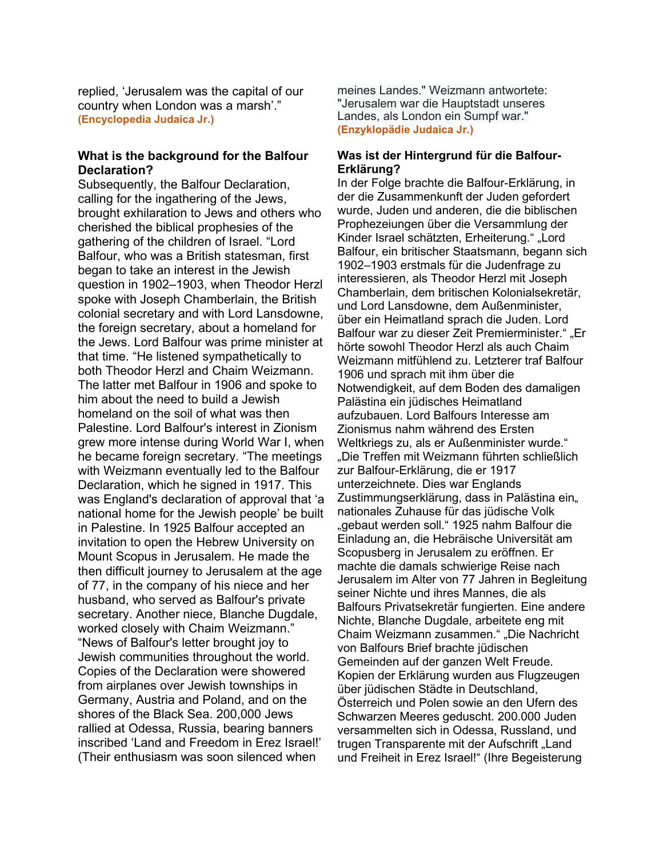replied, 'Jerusalem was the capital of our country when London was a marsh'." **(Encyclopedia Judaica Jr.)**

## **What is the background for the Balfour Declaration?**

Subsequently, the Balfour Declaration, calling for the ingathering of the Jews, brought exhilaration to Jews and others who cherished the biblical prophesies of the gathering of the children of Israel. "Lord Balfour, who was a British statesman, first began to take an interest in the Jewish question in 1902–1903, when Theodor Herzl spoke with Joseph Chamberlain, the British colonial secretary and with Lord Lansdowne, the foreign secretary, about a homeland for the Jews. Lord Balfour was prime minister at that time. "He listened sympathetically to both Theodor Herzl and Chaim Weizmann. The latter met Balfour in 1906 and spoke to him about the need to build a Jewish homeland on the soil of what was then Palestine. Lord Balfour's interest in Zionism grew more intense during World War I, when he became foreign secretary. "The meetings with Weizmann eventually led to the Balfour Declaration, which he signed in 1917. This was England's declaration of approval that 'a national home for the Jewish people' be built in Palestine. In 1925 Balfour accepted an invitation to open the Hebrew University on Mount Scopus in Jerusalem. He made the then difficult journey to Jerusalem at the age of 77, in the company of his niece and her husband, who served as Balfour's private secretary. Another niece, Blanche Dugdale, worked closely with Chaim Weizmann." "News of Balfour's letter brought joy to Jewish communities throughout the world. Copies of the Declaration were showered from airplanes over Jewish townships in Germany, Austria and Poland, and on the shores of the Black Sea. 200,000 Jews rallied at Odessa, Russia, bearing banners inscribed 'Land and Freedom in Erez Israel!' (Their enthusiasm was soon silenced when

meines Landes." Weizmann antwortete: "Jerusalem war die Hauptstadt unseres Landes, als London ein Sumpf war." **(Enzyklopädie Judaica Jr.)**

#### **Was ist der Hintergrund für die Balfour-Erklärung?**

In der Folge brachte die Balfour-Erklärung, in der die Zusammenkunft der Juden gefordert wurde, Juden und anderen, die die biblischen Prophezeiungen über die Versammlung der Kinder Israel schätzten, Erheiterung." "Lord Balfour, ein britischer Staatsmann, begann sich 1902–1903 erstmals für die Judenfrage zu interessieren, als Theodor Herzl mit Joseph Chamberlain, dem britischen Kolonialsekretär, und Lord Lansdowne, dem Außenminister, über ein Heimatland sprach die Juden. Lord Balfour war zu dieser Zeit Premierminister." "Er hörte sowohl Theodor Herzl als auch Chaim Weizmann mitfühlend zu. Letzterer traf Balfour 1906 und sprach mit ihm über die Notwendigkeit, auf dem Boden des damaligen Palästina ein jüdisches Heimatland aufzubauen. Lord Balfours Interesse am Zionismus nahm während des Ersten Weltkriegs zu, als er Außenminister wurde." "Die Treffen mit Weizmann führten schließlich zur Balfour-Erklärung, die er 1917 unterzeichnete. Dies war Englands Zustimmungserklärung, dass in Palästina ein" nationales Zuhause für das jüdische Volk "gebaut werden soll." 1925 nahm Balfour die Einladung an, die Hebräische Universität am Scopusberg in Jerusalem zu eröffnen. Er machte die damals schwierige Reise nach Jerusalem im Alter von 77 Jahren in Begleitung seiner Nichte und ihres Mannes, die als Balfours Privatsekretär fungierten. Eine andere Nichte, Blanche Dugdale, arbeitete eng mit Chaim Weizmann zusammen." "Die Nachricht von Balfours Brief brachte jüdischen Gemeinden auf der ganzen Welt Freude. Kopien der Erklärung wurden aus Flugzeugen über jüdischen Städte in Deutschland, Österreich und Polen sowie an den Ufern des Schwarzen Meeres geduscht. 200.000 Juden versammelten sich in Odessa, Russland, und trugen Transparente mit der Aufschrift "Land und Freiheit in Erez Israel!" (Ihre Begeisterung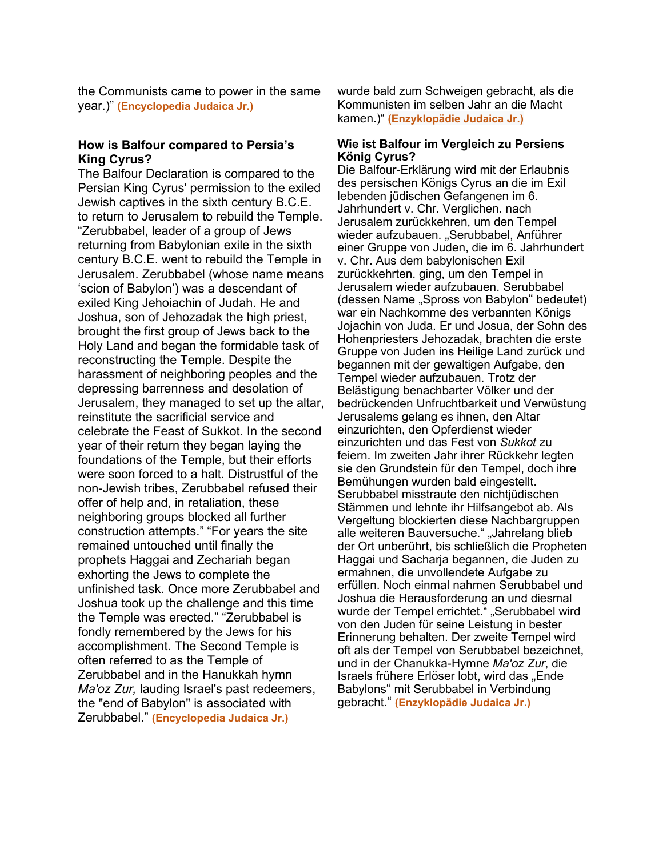the Communists came to power in the same year.)" **(Encyclopedia Judaica Jr.)**

#### **How is Balfour compared to Persia's King Cyrus?**

The Balfour Declaration is compared to the Persian King Cyrus' permission to the exiled Jewish captives in the sixth century B.C.E. to return to Jerusalem to rebuild the Temple. "Zerubbabel, leader of a group of Jews returning from Babylonian exile in the sixth century B.C.E. went to rebuild the Temple in Jerusalem. Zerubbabel (whose name means 'scion of Babylon') was a descendant of exiled King Jehoiachin of Judah. He and Joshua, son of Jehozadak the high priest, brought the first group of Jews back to the Holy Land and began the formidable task of reconstructing the Temple. Despite the harassment of neighboring peoples and the depressing barrenness and desolation of Jerusalem, they managed to set up the altar, reinstitute the sacrificial service and celebrate the Feast of Sukkot. In the second year of their return they began laying the foundations of the Temple, but their efforts were soon forced to a halt. Distrustful of the non-Jewish tribes, Zerubbabel refused their offer of help and, in retaliation, these neighboring groups blocked all further construction attempts." "For years the site remained untouched until finally the prophets Haggai and Zechariah began exhorting the Jews to complete the unfinished task. Once more Zerubbabel and Joshua took up the challenge and this time the Temple was erected." "Zerubbabel is fondly remembered by the Jews for his accomplishment. The Second Temple is often referred to as the Temple of Zerubbabel and in the Hanukkah hymn *Ma'oz Zur,* lauding Israel's past redeemers, the "end of Babylon" is associated with Zerubbabel." **(Encyclopedia Judaica Jr.)**

wurde bald zum Schweigen gebracht, als die Kommunisten im selben Jahr an die Macht kamen.)" **(Enzyklopädie Judaica Jr.)**

#### **Wie ist Balfour im Vergleich zu Persiens König Cyrus?**

Die Balfour-Erklärung wird mit der Erlaubnis des persischen Königs Cyrus an die im Exil lebenden jüdischen Gefangenen im 6. Jahrhundert v. Chr. Verglichen. nach Jerusalem zurückkehren, um den Tempel wieder aufzubauen. "Serubbabel, Anführer einer Gruppe von Juden, die im 6. Jahrhundert v. Chr. Aus dem babylonischen Exil zurückkehrten. ging, um den Tempel in Jerusalem wieder aufzubauen. Serubbabel (dessen Name "Spross von Babylon" bedeutet) war ein Nachkomme des verbannten Königs Jojachin von Juda. Er und Josua, der Sohn des Hohenpriesters Jehozadak, brachten die erste Gruppe von Juden ins Heilige Land zurück und begannen mit der gewaltigen Aufgabe, den Tempel wieder aufzubauen. Trotz der Belästigung benachbarter Völker und der bedrückenden Unfruchtbarkeit und Verwüstung Jerusalems gelang es ihnen, den Altar einzurichten, den Opferdienst wieder einzurichten und das Fest von *Sukkot* zu feiern. Im zweiten Jahr ihrer Rückkehr legten sie den Grundstein für den Tempel, doch ihre Bemühungen wurden bald eingestellt. Serubbabel misstraute den nichtjüdischen Stämmen und lehnte ihr Hilfsangebot ab. Als Vergeltung blockierten diese Nachbargruppen alle weiteren Bauversuche." "Jahrelang blieb der Ort unberührt, bis schließlich die Propheten Haggai und Sacharja begannen, die Juden zu ermahnen, die unvollendete Aufgabe zu erfüllen. Noch einmal nahmen Serubbabel und Joshua die Herausforderung an und diesmal wurde der Tempel errichtet." "Serubbabel wird von den Juden für seine Leistung in bester Erinnerung behalten. Der zweite Tempel wird oft als der Tempel von Serubbabel bezeichnet, und in der Chanukka-Hymne *Ma'oz Zur*, die Israels frühere Erlöser lobt, wird das "Ende Babylons" mit Serubbabel in Verbindung gebracht." **(Enzyklopädie Judaica Jr.)**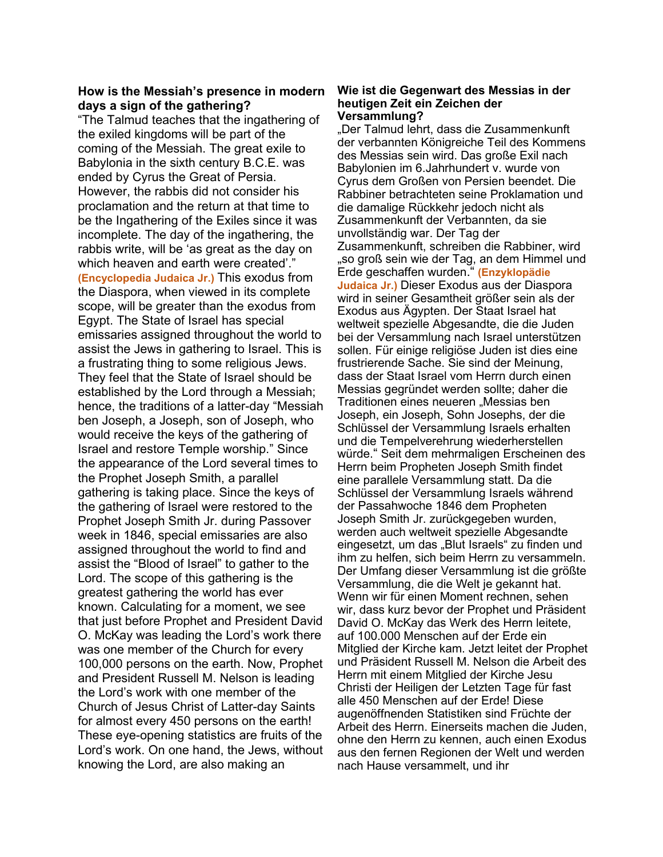#### **How is the Messiah's presence in modern days a sign of the gathering?**

"The Talmud teaches that the ingathering of the exiled kingdoms will be part of the coming of the Messiah. The great exile to Babylonia in the sixth century B.C.E. was ended by Cyrus the Great of Persia. However, the rabbis did not consider his proclamation and the return at that time to be the Ingathering of the Exiles since it was incomplete. The day of the ingathering, the rabbis write, will be 'as great as the day on which heaven and earth were created'." **(Encyclopedia Judaica Jr.)** This exodus from the Diaspora, when viewed in its complete scope, will be greater than the exodus from Egypt. The State of Israel has special emissaries assigned throughout the world to assist the Jews in gathering to Israel. This is a frustrating thing to some religious Jews. They feel that the State of Israel should be established by the Lord through a Messiah; hence, the traditions of a latter-day "Messiah ben Joseph, a Joseph, son of Joseph, who would receive the keys of the gathering of Israel and restore Temple worship." Since the appearance of the Lord several times to the Prophet Joseph Smith, a parallel gathering is taking place. Since the keys of the gathering of Israel were restored to the Prophet Joseph Smith Jr. during Passover week in 1846, special emissaries are also assigned throughout the world to find and assist the "Blood of Israel" to gather to the Lord. The scope of this gathering is the greatest gathering the world has ever known. Calculating for a moment, we see that just before Prophet and President David O. McKay was leading the Lord's work there was one member of the Church for every 100,000 persons on the earth. Now, Prophet and President Russell M. Nelson is leading the Lord's work with one member of the Church of Jesus Christ of Latter-day Saints for almost every 450 persons on the earth! These eye-opening statistics are fruits of the Lord's work. On one hand, the Jews, without knowing the Lord, are also making an

#### **Wie ist die Gegenwart des Messias in der heutigen Zeit ein Zeichen der Versammlung?**

"Der Talmud lehrt, dass die Zusammenkunft der verbannten Königreiche Teil des Kommens des Messias sein wird. Das große Exil nach Babylonien im 6.Jahrhundert v. wurde von Cyrus dem Großen von Persien beendet. Die Rabbiner betrachteten seine Proklamation und die damalige Rückkehr jedoch nicht als Zusammenkunft der Verbannten, da sie unvollständig war. Der Tag der Zusammenkunft, schreiben die Rabbiner, wird "so groß sein wie der Tag, an dem Himmel und Erde geschaffen wurden." **(Enzyklopädie Judaica Jr.)** Dieser Exodus aus der Diaspora wird in seiner Gesamtheit größer sein als der Exodus aus Ägypten. Der Staat Israel hat weltweit spezielle Abgesandte, die die Juden bei der Versammlung nach Israel unterstützen sollen. Für einige religiöse Juden ist dies eine frustrierende Sache. Sie sind der Meinung, dass der Staat Israel vom Herrn durch einen Messias gegründet werden sollte; daher die Traditionen eines neueren "Messias ben Joseph, ein Joseph, Sohn Josephs, der die Schlüssel der Versammlung Israels erhalten und die Tempelverehrung wiederherstellen würde." Seit dem mehrmaligen Erscheinen des Herrn beim Propheten Joseph Smith findet eine parallele Versammlung statt. Da die Schlüssel der Versammlung Israels während der Passahwoche 1846 dem Propheten Joseph Smith Jr. zurückgegeben wurden, werden auch weltweit spezielle Abgesandte eingesetzt, um das "Blut Israels" zu finden und ihm zu helfen, sich beim Herrn zu versammeln. Der Umfang dieser Versammlung ist die größte Versammlung, die die Welt je gekannt hat. Wenn wir für einen Moment rechnen, sehen wir, dass kurz bevor der Prophet und Präsident David O. McKay das Werk des Herrn leitete, auf 100.000 Menschen auf der Erde ein Mitglied der Kirche kam. Jetzt leitet der Prophet und Präsident Russell M. Nelson die Arbeit des Herrn mit einem Mitglied der Kirche Jesu Christi der Heiligen der Letzten Tage für fast alle 450 Menschen auf der Erde! Diese augenöffnenden Statistiken sind Früchte der Arbeit des Herrn. Einerseits machen die Juden, ohne den Herrn zu kennen, auch einen Exodus aus den fernen Regionen der Welt und werden nach Hause versammelt, und ihr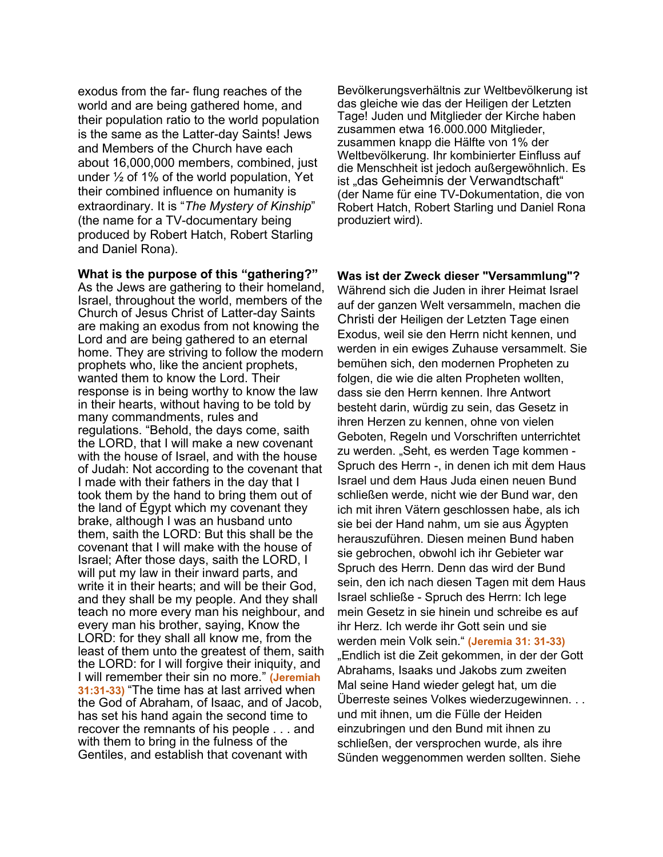exodus from the far- flung reaches of the world and are being gathered home, and their population ratio to the world population is the same as the Latter-day Saints! Jews and Members of the Church have each about 16,000,000 members, combined, just under ½ of 1% of the world population, Yet their combined influence on humanity is extraordinary. It is "*The Mystery of Kinship*" (the name for a TV-documentary being produced by Robert Hatch, Robert Starling and Daniel Rona).

**What is the purpose of this "gathering?"**

As the Jews are gathering to their homeland, Israel, throughout the world, members of the Church of Jesus Christ of Latter-day Saints are making an exodus from not knowing the Lord and are being gathered to an eternal home. They are striving to follow the modern prophets who, like the ancient prophets, wanted them to know the Lord. Their response is in being worthy to know the law in their hearts, without having to be told by many commandments, rules and regulations. "Behold, the days come, saith the LORD, that I will make a new covenant with the house of Israel, and with the house of Judah: Not according to the covenant that I made with their fathers in the day that I took them by the hand to bring them out of the land of Egypt which my covenant they brake, although I was an husband unto them, saith the LORD: But this shall be the covenant that I will make with the house of Israel; After those days, saith the LORD, I will put my law in their inward parts, and write it in their hearts; and will be their God, and they shall be my people. And they shall teach no more every man his neighbour, and every man his brother, saying, Know the LORD: for they shall all know me, from the least of them unto the greatest of them, saith the LORD: for I will forgive their iniquity, and I will remember their sin no more." **(Jeremiah 31:31-33)** "The time has at last arrived when the God of Abraham, of Isaac, and of Jacob, has set his hand again the second time to recover the remnants of his people . . . and with them to bring in the fulness of the Gentiles, and establish that covenant with

Bevölkerungsverhältnis zur Weltbevölkerung ist das gleiche wie das der Heiligen der Letzten Tage! Juden und Mitglieder der Kirche haben zusammen etwa 16.000.000 Mitglieder, zusammen knapp die Hälfte von 1% der Weltbevölkerung. Ihr kombinierter Einfluss auf die Menschheit ist jedoch außergewöhnlich. Es ist "das Geheimnis der Verwandtschaft" (der Name für eine TV-Dokumentation, die von Robert Hatch, Robert Starling und Daniel Rona produziert wird).

**Was ist der Zweck dieser "Versammlung"?**

Während sich die Juden in ihrer Heimat Israel auf der ganzen Welt versammeln, machen die Christi der Heiligen der Letzten Tage einen Exodus, weil sie den Herrn nicht kennen, und werden in ein ewiges Zuhause versammelt. Sie bemühen sich, den modernen Propheten zu folgen, die wie die alten Propheten wollten, dass sie den Herrn kennen. Ihre Antwort besteht darin, würdig zu sein, das Gesetz in ihren Herzen zu kennen, ohne von vielen Geboten, Regeln und Vorschriften unterrichtet zu werden. "Seht, es werden Tage kommen -Spruch des Herrn -, in denen ich mit dem Haus Israel und dem Haus Juda einen neuen Bund schließen werde, nicht wie der Bund war, den ich mit ihren Vätern geschlossen habe, als ich sie bei der Hand nahm, um sie aus Ägypten herauszuführen. Diesen meinen Bund haben sie gebrochen, obwohl ich ihr Gebieter war Spruch des Herrn. Denn das wird der Bund sein, den ich nach diesen Tagen mit dem Haus Israel schließe - Spruch des Herrn: Ich lege mein Gesetz in sie hinein und schreibe es auf ihr Herz. Ich werde ihr Gott sein und sie werden mein Volk sein." **(Jeremia 31: 31-33)** "Endlich ist die Zeit gekommen, in der der Gott Abrahams, Isaaks und Jakobs zum zweiten Mal seine Hand wieder gelegt hat, um die Überreste seines Volkes wiederzugewinnen. . . und mit ihnen, um die Fülle der Heiden einzubringen und den Bund mit ihnen zu schließen, der versprochen wurde, als ihre Sünden weggenommen werden sollten. Siehe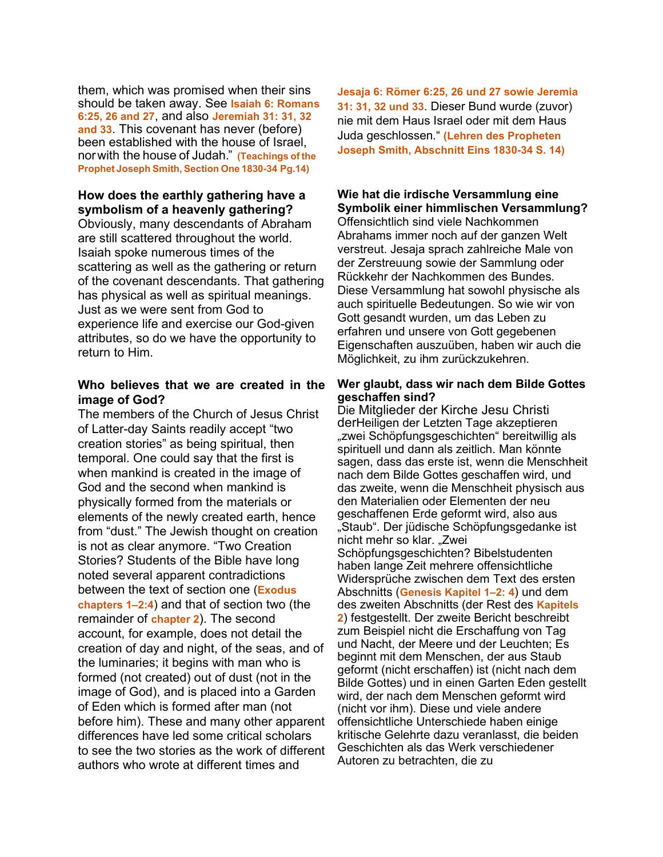them, which was promised when their sins should be taken away. See **Isaiah 6: Romans 6:25, 26 and 27**, and also **Jeremiah 31: 31, 32 and 33**. This covenant has never (before) been established with the house of Israel, norwith the house of Judah." **(Teachings of the Prophet Joseph Smith, Section One 1830-34 Pg.14)**

## **How does the earthly gathering have a symbolism of a heavenly gathering?**

Obviously, many descendants of Abraham are still scattered throughout the world. Isaiah spoke numerous times of the scattering as well as the gathering or return of the covenant descendants. That gathering has physical as well as spiritual meanings. Just as we were sent from God to experience life and exercise our God-given attributes, so do we have the opportunity to return to Him.

## **Who believes that we are created in the image of God?**

The members of the Church of Jesus Christ of Latter-day Saints readily accept "two creation stories" as being spiritual, then temporal. One could say that the first is when mankind is created in the image of God and the second when mankind is physically formed from the materials or elements of the newly created earth, hence from "dust." The Jewish thought on creation is not as clear anymore. "Two Creation Stories? Students of the Bible have long noted several apparent contradictions between the text of section one (**Exodus chapters 1–2:4**) and that of section two (the remainder of **chapter 2**). The second account, for example, does not detail the creation of day and night, of the seas, and of the luminaries; it begins with man who is formed (not created) out of dust (not in the image of God), and is placed into a Garden of Eden which is formed after man (not before him). These and many other apparent differences have led some critical scholars to see the two stories as the work of different authors who wrote at different times and

**Jesaja 6: Römer 6:25, 26 und 27 sowie Jeremia 31: 31, 32 und 33**. Dieser Bund wurde (zuvor) nie mit dem Haus Israel oder mit dem Haus Juda geschlossen." **(Lehren des Propheten Joseph Smith, Abschnitt Eins 1830-34 S. 14)**

## **Wie hat die irdische Versammlung eine Symbolik einer himmlischen Versammlung?**

Offensichtlich sind viele Nachkommen Abrahams immer noch auf der ganzen Welt verstreut. Jesaja sprach zahlreiche Male von der Zerstreuung sowie der Sammlung oder Rückkehr der Nachkommen des Bundes. Diese Versammlung hat sowohl physische als auch spirituelle Bedeutungen. So wie wir von Gott gesandt wurden, um das Leben zu erfahren und unsere von Gott gegebenen Eigenschaften auszuüben, haben wir auch die Möglichkeit, zu ihm zurückzukehren.

#### **Wer glaubt, dass wir nach dem Bilde Gottes geschaffen sind?**

Die Mitglieder der Kirche Jesu Christi derHeiligen der Letzten Tage akzeptieren "zwei Schöpfungsgeschichten" bereitwillig als spirituell und dann als zeitlich. Man könnte sagen, dass das erste ist, wenn die Menschheit nach dem Bilde Gottes geschaffen wird, und das zweite, wenn die Menschheit physisch aus den Materialien oder Elementen der neu geschaffenen Erde geformt wird, also aus "Staub". Der jüdische Schöpfungsgedanke ist nicht mehr so klar. "Zwei Schöpfungsgeschichten? Bibelstudenten haben lange Zeit mehrere offensichtliche Widersprüche zwischen dem Text des ersten Abschnitts (**Genesis Kapitel 1–2: 4**) und dem des zweiten Abschnitts (der Rest des **Kapitels 2**) festgestellt. Der zweite Bericht beschreibt zum Beispiel nicht die Erschaffung von Tag und Nacht, der Meere und der Leuchten; Es beginnt mit dem Menschen, der aus Staub geformt (nicht erschaffen) ist (nicht nach dem Bilde Gottes) und in einen Garten Eden gestellt wird, der nach dem Menschen geformt wird (nicht vor ihm). Diese und viele andere offensichtliche Unterschiede haben einige kritische Gelehrte dazu veranlasst, die beiden Geschichten als das Werk verschiedener Autoren zu betrachten, die zu